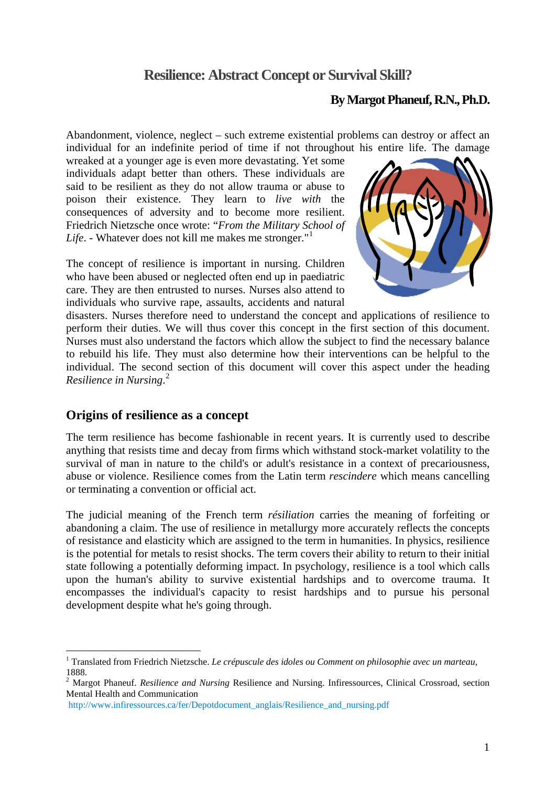# **Resilience: Abstract Concept or Survival Skill?**

### **By Margot Phaneuf, R.N., Ph.D.**

Abandonment, violence, neglect – such extreme existential problems can destroy or affect an individual for an indefinite period of time if not throughout his entire life. The damage

wreaked at a younger age is even more devastating. Yet some individuals adapt better than others. These individuals are said to be resilient as they do not allow trauma or abuse to poison their existence. They learn to *live with* the consequences of adversity and to become more resilient. Friedrich Nietzsche once wrote: "*From the Military School of Life*. - Whatever does not kill me makes me stronger."<sup>[1](#page-0-0)</sup>

The concept of resilience is important in nursing. Children who have been abused or neglected often end up in paediatric care. They are then entrusted to nurses. Nurses also attend to individuals who survive rape, assaults, accidents and natural



disasters. Nurses therefore need to understand the concept and applications of resilience to perform their duties. We will thus cover this concept in the first section of this document. Nurses must also understand the factors which allow the subject to find the necessary balance to rebuild his life. They must also determine how their interventions can be helpful to the individual. The second section of this document will cover this aspect under the heading *Resilience in Nursing*. [2](#page-0-1)

### **Origins of resilience as a concept**

1

The term resilience has become fashionable in recent years. It is currently used to describe anything that resists time and decay from firms which withstand stock-market volatility to the survival of man in nature to the child's or adult's resistance in a context of precariousness, abuse or violence. Resilience comes from the Latin term *rescindere* which means cancelling or terminating a convention or official act.

The judicial meaning of the French term *résiliation* carries the meaning of forfeiting or abandoning a claim. The use of resilience in metallurgy more accurately reflects the concepts of resistance and elasticity which are assigned to the term in humanities. In physics, resilience is the potential for metals to resist shocks. The term covers their ability to return to their initial state following a potentially deforming impact. In psychology, resilience is a tool which calls upon the human's ability to survive existential hardships and to overcome trauma. It encompasses the individual's capacity to resist hardships and to pursue his personal development despite what he's going through.

<span id="page-0-0"></span><sup>&</sup>lt;sup>1</sup> Translated from Friedrich Nietzsche. *Le crépuscule des idoles ou Comment on philosophie avec un marteau*, 1888.

<span id="page-0-1"></span><sup>2</sup> Margot Phaneuf. *Resilience and Nursing* Resilience and Nursing. Infiressources, Clinical Crossroad, section Mental Health and Communication

[http://www.infiressources.ca/fer/Depotdocument\\_anglais/Resilience\\_and\\_nursing.pdf](http://www.infiressources.ca/fer/Depotdocument_anglais/Resilience_and_nursing.pdf)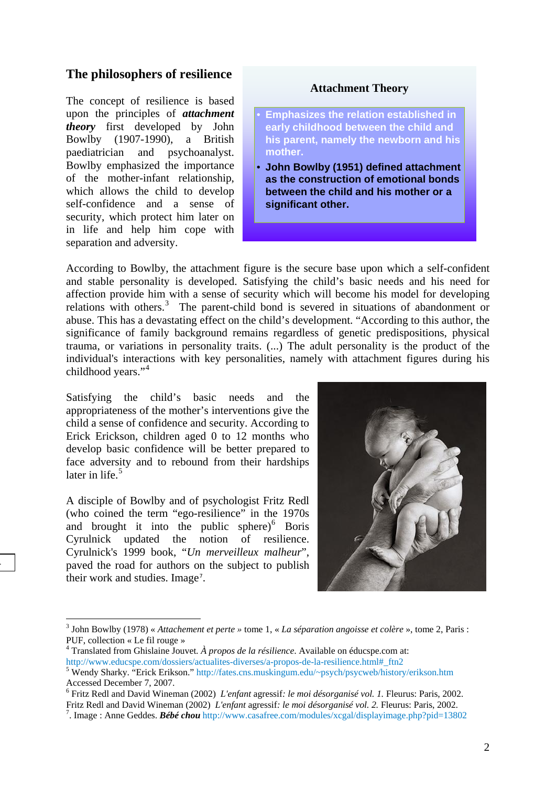### **The philosophers of resilience**

The concept of resilience is based upon the principles of *attachment theory* first developed by John Bowlby (1907-1990), a British paediatrician and psychoanalyst. Bowlby emphasized the importance of the mother-infant relationship, which allows the child to develop self-confidence and a sense of security, which protect him later on in life and help him cope with separation and adversity.

#### **Attachment Theory**

- **Emphasizes the relation established in early childhood between the child and his parent, namely the newborn and his mother.**
- **John Bowlby (1951) defined attachment as the construction of emotional bonds between the child and his mother or a significant other.**

According to Bowlby, the attachment figure is the secure base upon which a self-confident and stable personality is developed. Satisfying the child's basic needs and his need for affection provide him with a sense of security which will become his model for developing relations with others.<sup>[3](#page-1-0)</sup> The parent-child bond is severed in situations of abandonment or abuse. This has a devastating effect on the child's development. "According to this author, the significance of family background remains regardless of genetic predispositions, physical trauma, or variations in personality traits. (...) The adult personality is the product of the individual's interactions with key personalities, namely with attachment figures during his childhood years."<sup>[4](#page-1-1)</sup>

Satisfying the child's basic needs and the appropriateness of the mother's interventions give the child a sense of confidence and security. According to Erick Erickson, children aged 0 to 12 months who develop basic confidence will be better prepared to face adversity and to rebound from their hardships later in life.<sup>[5](#page-1-2)</sup>

A disciple of Bowlby and of psychologist Fritz Redl (who coined the term "ego-resilience" in the 1970s and brought it into the public sphere) $6$  Boris Cyrulnick updated the notion of resilience. Cyrulnick's 1999 book, "*Un merveilleux malheur*", paved the road for authors on the subject to publish their work and studies. Image<sup>[7](#page-1-4)</sup>.

<span id="page-1-0"></span>.



<sup>3</sup> John Bowlby (1978) « *Attachement et perte »* tome 1, « *La séparation angoisse et colère* », tome 2, Paris : PUF, collection « Le fil rouge »

<span id="page-1-1"></span><sup>4</sup> Translated from Ghislaine Jouvet*. À propos de la résilience*. Available on éducspe.com at: http://www.educspe.com/dossiers/actualites-diverses/a-propos-de-la-resilience.html# ftn2

<span id="page-1-2"></span>Wendy Sharky. "Erick Erikson." [http://fates.cns.muskingum.edu/~psych/psycweb/history/erikson.htm](http://fates.cns.muskingum.edu/%7Epsych/psycweb/history/erikson.htm) Accessed December 7, 2007.

<span id="page-1-3"></span><sup>6</sup> Fritz Redl and David Wineman (2002) *L'enfant* agressif*: le moi désorganisé vol. 1.* Fleurus: Paris, 2002. Fritz Redl and David Wineman (2002) *L'enfant* agressif*: le moi désorganisé vol. 2.* Fleurus: Paris, 2002. 7

<span id="page-1-4"></span><sup>.</sup> Image : Anne Geddes. *Bébé chou* <http://www.casafree.com/modules/xcgal/displayimage.php?pid=13802>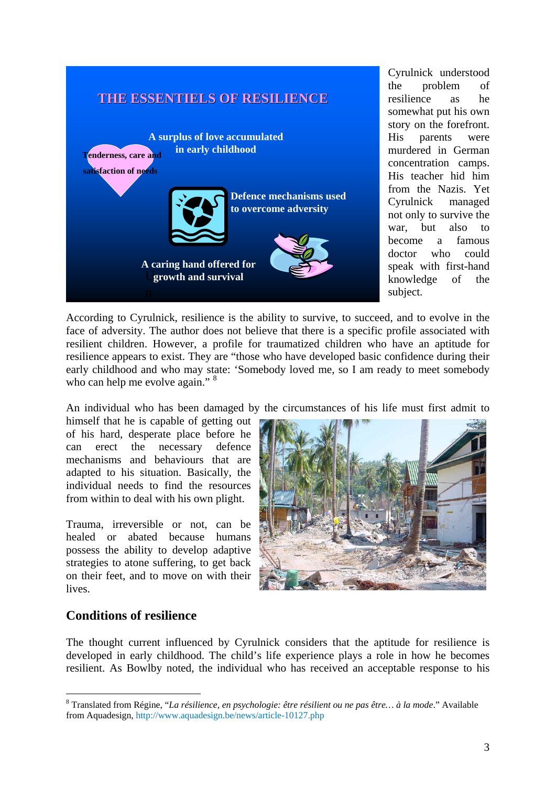

Cyrulnick understood the problem of resilience as he somewhat put his own story on the forefront. His parents were murdered in German concentration camps. His teacher hid him from the Nazis. Yet Cyrulnick managed not only to survive the war, but also to become a famous doctor who could speak with first-hand knowledge of the subject.

According to Cyrulnick, resilience is the ability to survive, to succeed, and to evolve in the face of adversity. The author does not believe that there is a specific profile associated with resilient children. However, a profile for traumatized children who have an aptitude for resilience appears to exist. They are "those who have developed basic confidence during their early childhood and who may state: 'Somebody loved me, so I am ready to meet somebody who can help me evolve again." <sup>[8](#page-2-0)</sup>

An individual who has been damaged by the circumstances of his life must first admit to

himself that he is capable of getting out of his hard, desperate place before he can erect the necessary defence mechanisms and behaviours that are adapted to his situation. Basically, the individual needs to find the resources from within to deal with his own plight.

Trauma, irreversible or not, can be healed or abated because humans possess the ability to develop adaptive strategies to atone suffering, to get back on their feet, and to move on with their lives.



## **Conditions of resilience**

1

The thought current influenced by Cyrulnick considers that the aptitude for resilience is developed in early childhood. The child's life experience plays a role in how he becomes resilient. As Bowlby noted, the individual who has received an acceptable response to his

<span id="page-2-0"></span><sup>8</sup> Translated from Régine, "*La résilience, en psychologie: être résilient ou ne pas être… à la mode*." Available from Aquadesign, <http://www.aquadesign.be/news/article-10127.php>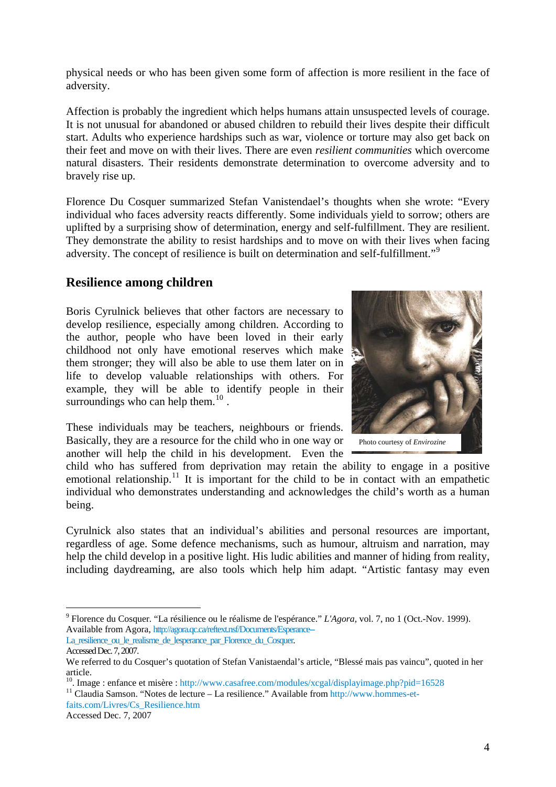physical needs or who has been given some form of affection is more resilient in the face of adversity.

Affection is probably the ingredient which helps humans attain unsuspected levels of courage. It is not unusual for abandoned or abused children to rebuild their lives despite their difficult start. Adults who experience hardships such as war, violence or torture may also get back on their feet and move on with their lives. There are even *resilient communities* which overcome natural disasters. Their residents demonstrate determination to overcome adversity and to bravely rise up.

Florence Du Cosquer summarized Stefan Vanistendael's thoughts when she wrote: "Every individual who faces adversity reacts differently. Some individuals yield to sorrow; others are uplifted by a surprising show of determination, energy and self-fulfillment. They are resilient. They demonstrate the ability to resist hardships and to move on with their lives when facing adversity. The concept of resilience is built on determination and self-fulfillment."[9](#page-3-0)

### **Resilience among children**

Boris Cyrulnick believes that other factors are necessary to develop resilience, especially among children. According to the author, people who have been loved in their early childhood not only have emotional reserves which make them stronger; they will also be able to use them later on in life to develop valuable relationships with others. For example, they will be able to identify people in their surroundings who can help them. $^{10}$  $^{10}$  $^{10}$ .



Photo courtesy of *Envirozine* 

child who has suffered from deprivation may retain the ability to engage in a positive emotional relationship.<sup>[11](#page-3-2)</sup> It is important for the child to be in contact with an empathetic individual who demonstrates understanding and acknowledges the child's worth as a human being.

Cyrulnick also states that an individual's abilities and personal resources are important, regardless of age. Some defence mechanisms, such as humour, altruism and narration, may help the child develop in a positive light. His ludic abilities and manner of hiding from reality, including daydreaming, are also tools which help him adapt. "Artistic fantasy may even

<span id="page-3-2"></span>[faits.com/Livres/Cs\\_Resilience.htm](http://www.hommes-et-faits.com/Livres/Cs_Resilience.htm)

Accessed Dec. 7, 2007

<span id="page-3-0"></span><sup>9</sup> Florence du Cosquer. "La résilience ou le réalisme de l'espérance." *L'Agora*, vol. 7, no 1 (Oct.-Nov. 1999). Available from Agora, [http://agora.qc.ca/reftext.nsf/Documents/Esperance--](http://agora.qc.ca/reftext.nsf/Documents/Esperance--La_resilience_ou_le_realisme_de_lesperance_par_Florence_du_Cosquer)

La resilience ou le realisme de lesperance par Florence du Cosquer. Accessed Dec. 7, 2007.

We referred to du Cosquer's quotation of Stefan Vanistaendal's article, "Blessé mais pas vaincu", quoted in her article.

<span id="page-3-1"></span><sup>&</sup>lt;sup>10</sup>. Image : enfance et misère : <http://www.casafree.com/modules/xcgal/displayimage.php?pid=16528> <sup>11</sup> Claudia Samson. "Notes de lecture – La resilience." Available from [http://www.hommes-et-](http://www.hommes-et-faits.com/Livres/Cs_Resilience.htm)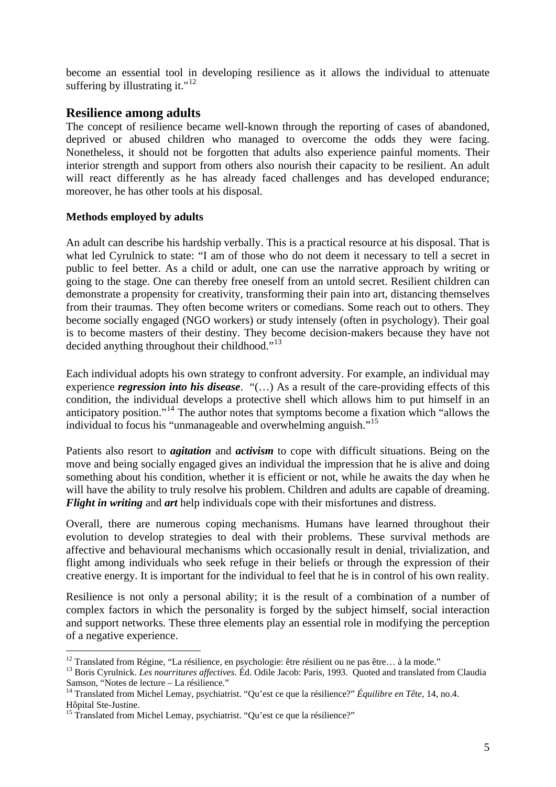become an essential tool in developing resilience as it allows the individual to attenuate suffering by illustrating it."<sup>[12](#page-4-0)</sup>

### **Resilience among adults**

The concept of resilience became well-known through the reporting of cases of abandoned, deprived or abused children who managed to overcome the odds they were facing. Nonetheless, it should not be forgotten that adults also experience painful moments. Their interior strength and support from others also nourish their capacity to be resilient. An adult will react differently as he has already faced challenges and has developed endurance; moreover, he has other tools at his disposal.

### **Methods employed by adults**

1

An adult can describe his hardship verbally. This is a practical resource at his disposal. That is what led Cyrulnick to state: "I am of those who do not deem it necessary to tell a secret in public to feel better. As a child or adult, one can use the narrative approach by writing or going to the stage. One can thereby free oneself from an untold secret. Resilient children can demonstrate a propensity for creativity, transforming their pain into art, distancing themselves from their traumas. They often become writers or comedians. Some reach out to others. They become socially engaged (NGO workers) or study intensely (often in psychology). Their goal is to become masters of their destiny. They become decision-makers because they have not decided anything throughout their childhood."<sup>[13](#page-4-1)</sup>

Each individual adopts his own strategy to confront adversity. For example, an individual may experience *regression into his disease*. "(…) As a result of the care-providing effects of this condition, the individual develops a protective shell which allows him to put himself in an anticipatory position."[14](#page-4-2) The author notes that symptoms become a fixation which "allows the individual to focus his "unmanageable and overwhelming anguish."[15](#page-4-3)

Patients also resort to *agitation* and *activism* to cope with difficult situations. Being on the move and being socially engaged gives an individual the impression that he is alive and doing something about his condition, whether it is efficient or not, while he awaits the day when he will have the ability to truly resolve his problem. Children and adults are capable of dreaming. *Flight in writing* and *art* help individuals cope with their misfortunes and distress.

Overall, there are numerous coping mechanisms. Humans have learned throughout their evolution to develop strategies to deal with their problems. These survival methods are affective and behavioural mechanisms which occasionally result in denial, trivialization, and flight among individuals who seek refuge in their beliefs or through the expression of their creative energy. It is important for the individual to feel that he is in control of his own reality.

Resilience is not only a personal ability; it is the result of a combination of a number of complex factors in which the personality is forged by the subject himself, social interaction and support networks. These three elements play an essential role in modifying the perception of a negative experience.

<span id="page-4-0"></span> $12$  Translated from Régine, "La résilience, en psychologie: être résilient ou ne pas être... à la mode."

<span id="page-4-1"></span><sup>&</sup>lt;sup>13</sup> Boris Cyrulnick. *Les nourritures affectives*. Éd. Odile Jacob: Paris, 1993. Quoted and translated from Claudia Samson, "Notes de lecture – La résilience." 14 Translated from Michel Lemay, psychiatrist. "Qu'est ce que la résilience?" *Équilibre en Tête*, 14, no.4.

<span id="page-4-2"></span>Hôpital Ste-Justine.

<span id="page-4-3"></span><sup>&</sup>lt;sup>15</sup> Translated from Michel Lemay, psychiatrist. "Ou'est ce que la résilience?"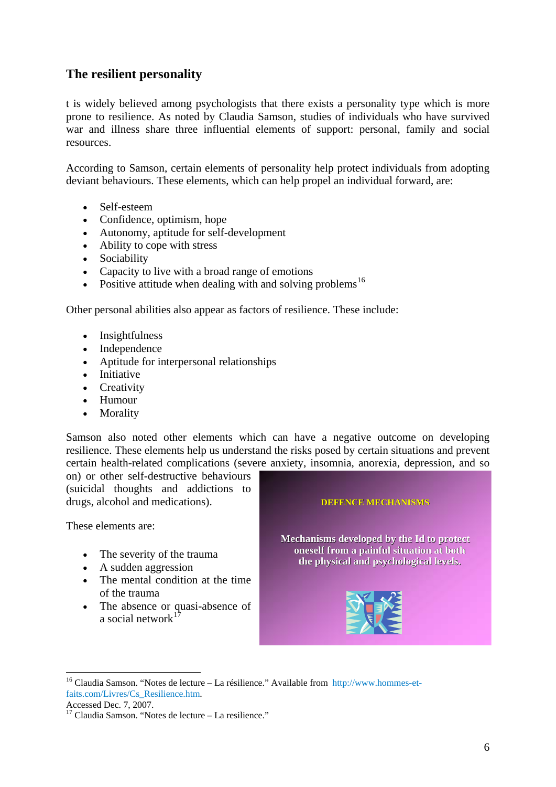## **The resilient personality**

t is widely believed among psychologists that there exists a personality type which is more prone to resilience. As noted by Claudia Samson, studies of individuals who have survived war and illness share three influential elements of support: personal, family and social resources.

According to Samson, certain elements of personality help protect individuals from adopting deviant behaviours. These elements, which can help propel an individual forward, are:

- Self-esteem
- Confidence, optimism, hope
- Autonomy, aptitude for self-development
- Ability to cope with stress
- Sociability
- Capacity to live with a broad range of emotions
- Positive attitude when dealing with and solving problems<sup>[16](#page-5-0)</sup>

Other personal abilities also appear as factors of resilience. These include:

- Insightfulness
- Independence
- Aptitude for interpersonal relationships
- Initiative
- Creativity
- Humour
- Morality

Samson also noted other elements which can have a negative outcome on developing resilience. These elements help us understand the risks posed by certain situations and prevent certain health-related complications (severe anxiety, insomnia, anorexia, depression, and so

on) or other self-destructive behaviours (suicidal thoughts and addictions to drugs, alcohol and medications). **DEFENCE MECHANISMS DEFENCE MECHANISMS**

These elements are:

- The severity of the trauma
- A sudden aggression
- The mental condition at the time of the trauma
- The absence or quasi-absence of a social network $<sup>1</sup>$ </sup>

**Mechanisms Mechanisms developed by the Id to by the Id to protect protect oneself oneself from a painful painful situation situation at both the physical physical and psychological psychological levels.**



<sup>&</sup>lt;sup>16</sup> Claudia Samson. "Notes de lecture – La résilience." Available from [http://www.hommes-et](http://www.hommes-et-faits.com/Livres/Cs_Resilience.htm)[faits.com/Livres/Cs\\_Resilience.htm](http://www.hommes-et-faits.com/Livres/Cs_Resilience.htm).

<span id="page-5-0"></span>Accessed Dec. 7, 2007.

<span id="page-5-1"></span> $17$  Claudia Samson. "Notes de lecture – La resilience."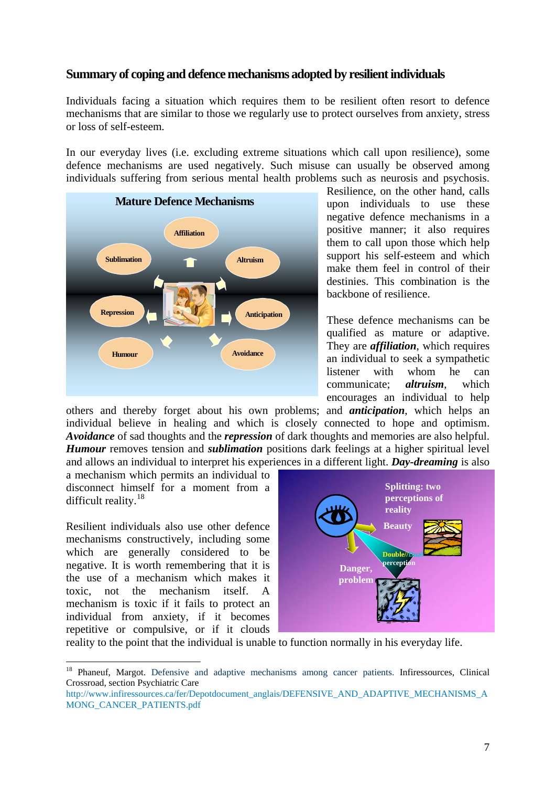### **Summary of coping and defence mechanisms adopted by resilient individuals**

Individuals facing a situation which requires them to be resilient often resort to defence mechanisms that are similar to those we regularly use to protect ourselves from anxiety, stress or loss of self-esteem.

In our everyday lives (i.e. excluding extreme situations which call upon resilience), some defence mechanisms are used negatively. Such misuse can usually be observed among individuals suffering from serious mental health problems such as neurosis and psychosis.



Resilience, on the other hand, calls upon individuals to use these negative defence mechanisms in a positive manner; it also requires them to call upon those which help support his self-esteem and which make them feel in control of their destinies. This combination is the backbone of resilience.

These defence mechanisms can be qualified as mature or adaptive. They are *affiliation*, which requires an individual to seek a sympathetic listener with whom he can communicate; *altruism*, which encourages an individual to help

others and thereby forget about his own problems; and *anticipation*, which helps an individual believe in healing and which is closely connected to hope and optimism. *Avoidance* of sad thoughts and the *repression* of dark thoughts and memories are also helpful. *Humour* removes tension and *sublimation* positions dark feelings at a higher spiritual level and allows an individual to interpret his experiences in a different light. *Day-dreaming* is also

a mechanism which permits an individual to disconnect himself for a moment from a difficult reality.<sup>[18](#page-6-0)</sup>

Resilient individuals also use other defence mechanisms constructively, including some which are generally considered to be negative. It is worth remembering that it is the use of a mechanism which makes it toxic, not the mechanism itself. A mechanism is toxic if it fails to protect an individual from anxiety, if it becomes repetitive or compulsive, or if it clouds

1



reality to the point that the individual is unable to function normally in his everyday life.

<span id="page-6-0"></span><sup>&</sup>lt;sup>18</sup> Phaneuf, Margot. Defensive and adaptive mechanisms among cancer patients. Infiressources, Clinical Crossroad, section Psychiatric Care

[http://www.infiressources.ca/fer/Depotdocument\\_anglais/DEFENSIVE\\_AND\\_ADAPTIVE\\_MECHANISMS\\_A](http://www.infiressources.ca/fer/Depotdocument_anglais/DEFENSIVE_AND_ADAPTIVE_MECHANISMS_AMONG_CANCER_PATIENTS.pdf) [MONG\\_CANCER\\_PATIENTS.pdf](http://www.infiressources.ca/fer/Depotdocument_anglais/DEFENSIVE_AND_ADAPTIVE_MECHANISMS_AMONG_CANCER_PATIENTS.pdf)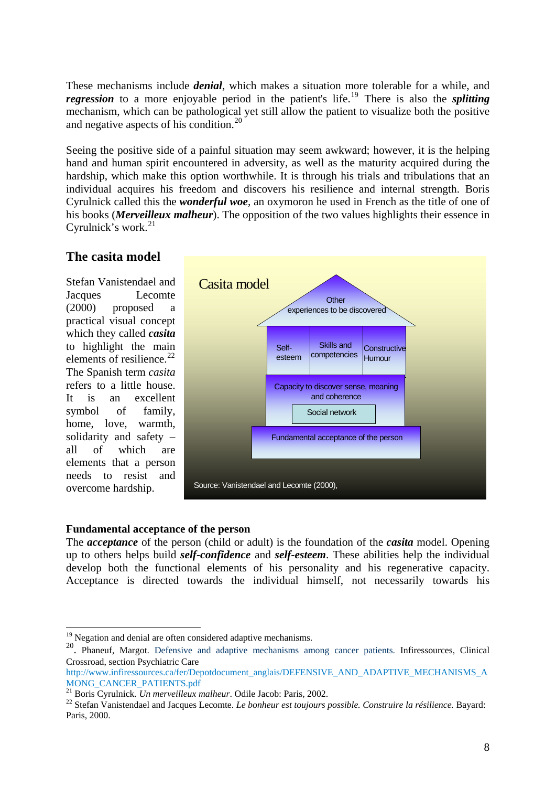These mechanisms include *denial*, which makes a situation more tolerable for a while, and *regression* to a more enjoyable period in the patient's life.<sup>[19](#page-7-0)</sup> There is also the *splitting* mechanism, which can be pathological yet still allow the patient to visualize both the positive and negative aspects of his condition.[20](#page-7-1)

Seeing the positive side of a painful situation may seem awkward; however, it is the helping hand and human spirit encountered in adversity, as well as the maturity acquired during the hardship, which make this option worthwhile. It is through his trials and tribulations that an individual acquires his freedom and discovers his resilience and internal strength. Boris Cyrulnick called this the *wonderful woe*, an oxymoron he used in French as the title of one of his books (*Merveilleux malheur*). The opposition of the two values highlights their essence in Cyrulnick's work. $^{21}$  $^{21}$  $^{21}$ 

### **The casita model**

Stefan Vanistendael and Jacques Lecomte (2000) proposed a practical visual concept which they called *casita* to highlight the main elements of resilience. $^{22}$  $^{22}$  $^{22}$ The Spanish term *casita* refers to a little house. It is an excellent symbol of family, home, love, warmth, solidarity and safety – all of which are elements that a person needs to resist and overcome hardship.

<u>.</u>



#### **Fundamental acceptance of the person**

The *acceptance* of the person (child or adult) is the foundation of the *casita* model. Opening up to others helps build *self-confidence* and *self-esteem*. These abilities help the individual develop both the functional elements of his personality and his regenerative capacity. Acceptance is directed towards the individual himself, not necessarily towards his

 $19$  Negation and denial are often considered adaptive mechanisms.

<span id="page-7-1"></span><span id="page-7-0"></span><sup>&</sup>lt;sup>20</sup>. Phaneuf, Margot. Defensive and adaptive mechanisms among cancer patients. Infiressources, Clinical Crossroad, section Psychiatric Care

[http://www.infiressources.ca/fer/Depotdocument\\_anglais/DEFENSIVE\\_AND\\_ADAPTIVE\\_MECHANISMS\\_A](http://www.infiressources.ca/fer/Depotdocument_anglais/DEFENSIVE_AND_ADAPTIVE_MECHANISMS_AMONG_CANCER_PATIENTS.pdf)

<span id="page-7-3"></span><span id="page-7-2"></span><sup>&</sup>lt;sup>21</sup> Boris Cyrulnick. *Un merveilleux malheur*. Odile Jacob: Paris, 2002. <sup>22</sup> Stefan Vanistendael and Jacques Lecomte. *Le bonheur est toujours possible. Construire la résilience.* Bayard: Paris, 2000.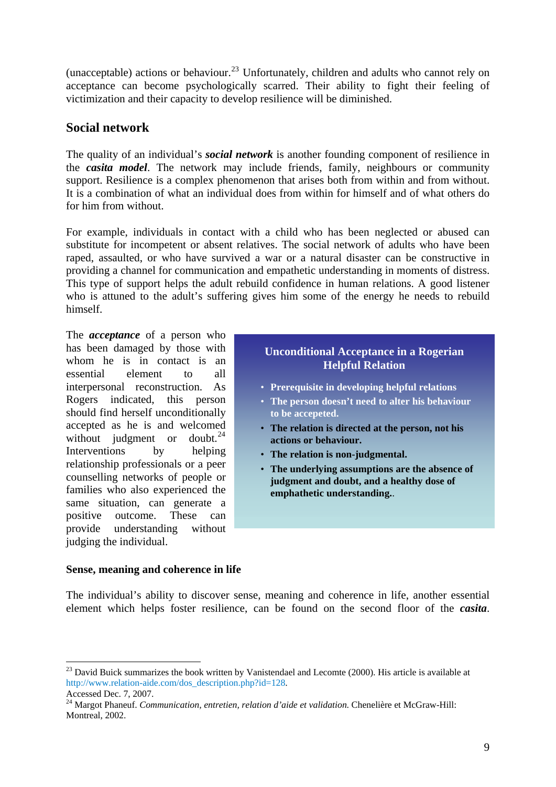(unacceptable) actions or behaviour.<sup>[23](#page-8-0)</sup> Unfortunately, children and adults who cannot rely on acceptance can become psychologically scarred. Their ability to fight their feeling of victimization and their capacity to develop resilience will be diminished.

### **Social network**

The quality of an individual's *social network* is another founding component of resilience in the *casita model*. The network may include friends, family, neighbours or community support. Resilience is a complex phenomenon that arises both from within and from without. It is a combination of what an individual does from within for himself and of what others do for him from without.

For example, individuals in contact with a child who has been neglected or abused can substitute for incompetent or absent relatives. The social network of adults who have been raped, assaulted, or who have survived a war or a natural disaster can be constructive in providing a channel for communication and empathetic understanding in moments of distress. This type of support helps the adult rebuild confidence in human relations. A good listener who is attuned to the adult's suffering gives him some of the energy he needs to rebuild himself.

The *acceptance* of a person who has been damaged by those with whom he is in contact is an essential element to all interpersonal reconstruction. As Rogers indicated, this person should find herself unconditionally accepted as he is and welcomed without judgment or doubt. $^{24}$  $^{24}$  $^{24}$ Interventions by helping relationship professionals or a peer counselling networks of people or families who also experienced the same situation, can generate a positive outcome. These can provide understanding without judging the individual.

### **Unconditional Acceptance in a Rogerian Helpful Relation**

- **Prerequisite in developing helpful relations**
- **The person doesn't need to alter his behaviour to be accepeted.**
- **The relation is directed at the person, not his actions or behaviour.**
- **The relation is non-judgmental.**
- **The underlying assumptions are the absence of judgment and doubt, and a healthy dose of emphathetic understanding.**.

#### **Sense, meaning and coherence in life**

The individual's ability to discover sense, meaning and coherence in life, another essential element which helps foster resilience, can be found on the second floor of the *casita*.

<span id="page-8-0"></span> $^{23}$  David Buick summarizes the book written by Vanistendael and Lecomte (2000). His article is available at [http://www.relation-aide.com/dos\\_description.php?id=128.](http://www.relation-aide.com/dos_description.php?id=128)

Accessed Dec. 7, 2007.

<span id="page-8-1"></span><sup>24</sup> Margot Phaneuf. *Communication, entretien, relation d'aide et validation*. Chenelière et McGraw-Hill: Montreal, 2002.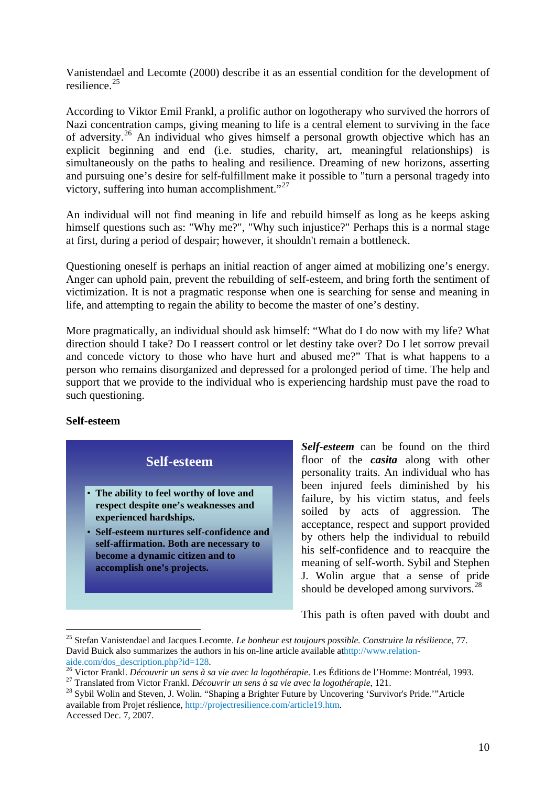Vanistendael and Lecomte (2000) describe it as an essential condition for the development of resilience.[25](#page-9-0)

According to Viktor Emil Frankl, a prolific author on logotherapy who survived the horrors of Nazi concentration camps, giving meaning to life is a central element to surviving in the face of adversity.[26](#page-9-1) An individual who gives himself a personal growth objective which has an explicit beginning and end (i.e. studies, charity, art, meaningful relationships) is simultaneously on the paths to healing and resilience. Dreaming of new horizons, asserting and pursuing one's desire for self-fulfillment make it possible to "turn a personal tragedy into victory, suffering into human accomplishment."<sup>[27](#page-9-2)</sup>

An individual will not find meaning in life and rebuild himself as long as he keeps asking himself questions such as: "Why me?", "Why such injustice?" Perhaps this is a normal stage at first, during a period of despair; however, it shouldn't remain a bottleneck.

Questioning oneself is perhaps an initial reaction of anger aimed at mobilizing one's energy. Anger can uphold pain, prevent the rebuilding of self-esteem, and bring forth the sentiment of victimization. It is not a pragmatic response when one is searching for sense and meaning in life, and attempting to regain the ability to become the master of one's destiny.

More pragmatically, an individual should ask himself: "What do I do now with my life? What direction should I take? Do I reassert control or let destiny take over? Do I let sorrow prevail and concede victory to those who have hurt and abused me?" That is what happens to a person who remains disorganized and depressed for a prolonged period of time. The help and support that we provide to the individual who is experiencing hardship must pave the road to such questioning.

#### **Self-esteem**

1

**Self-esteem** • **The ability to feel worthy of love and respect despite one's weaknesses and experienced hardships.** • **Self-esteem nurtures self-confidence and self-affirmation. Both are necessary to become a dynamic citizen and to accomplish one's projects.**

*Self-esteem* can be found on the third floor of the *casita* along with other personality traits. An individual who has been injured feels diminished by his failure, by his victim status, and feels soiled by acts of aggression. The acceptance, respect and support provided by others help the individual to rebuild his self-confidence and to reacquire the meaning of self-worth. Sybil and Stephen J. Wolin argue that a sense of pride should be developed among survivors.<sup>[28](#page-9-3)</sup>

This path is often paved with doubt and

<span id="page-9-0"></span><sup>25</sup> Stefan Vanistendael and Jacques Lecomte. *Le bonheur est toujours possible. Construire la résilience*, 77. David Buick also summarizes the authors in his on-line article available a[thttp://www.relation-](http://www.relation-aide.com/dos_description.php?id=128)

<span id="page-9-1"></span>[aide.com/dos\\_description.php?id=128.](http://www.relation-aide.com/dos_description.php?id=128)<br><sup>[26](http://www.relation-aide.com/dos_description.php?id=128)</sup> Victor Frankl. *Découvrir un sens à sa vie avec la logothérapie*. Les Éditions de l'Homme: Montréal, 1993.<br><sup>27</sup> Translated from Victor Frankl. *Découvrir un sens à sa vie avec la l* 

<span id="page-9-3"></span><span id="page-9-2"></span>available from Projet réslience, [http://projectresilience.com/article19.htm.](http://projectresilience.com/article19.htm) Accessed Dec. 7, 2007.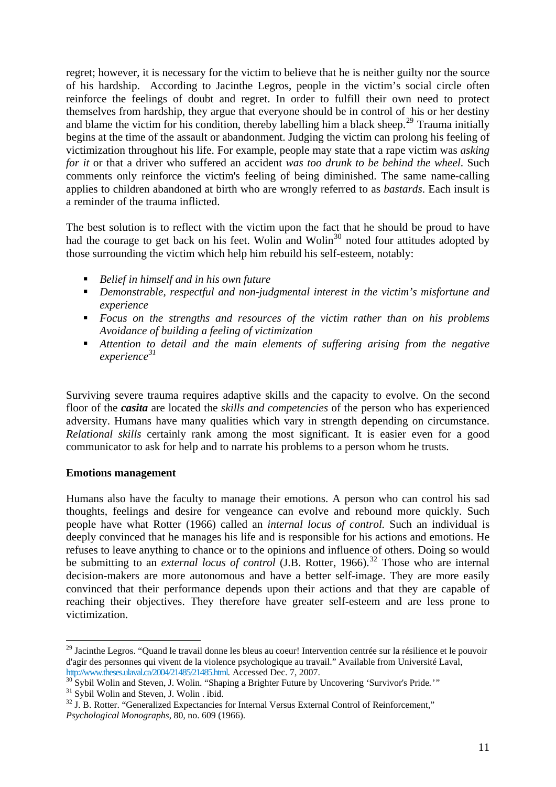regret; however, it is necessary for the victim to believe that he is neither guilty nor the source of his hardship. According to Jacinthe Legros, people in the victim's social circle often reinforce the feelings of doubt and regret. In order to fulfill their own need to protect themselves from hardship, they argue that everyone should be in control of his or her destiny and blame the victim for his condition, thereby labelling him a black sheep.<sup>[29](#page-10-0)</sup> Trauma initially begins at the time of the assault or abandonment. Judging the victim can prolong his feeling of victimization throughout his life. For example, people may state that a rape victim was *asking for it* or that a driver who suffered an accident *was too drunk to be behind the wheel*. Such comments only reinforce the victim's feeling of being diminished. The same name-calling applies to children abandoned at birth who are wrongly referred to as *bastards*. Each insult is a reminder of the trauma inflicted.

The best solution is to reflect with the victim upon the fact that he should be proud to have had the courage to get back on his feet. Wolin and Wolin<sup>[30](#page-10-1)</sup> noted four attitudes adopted by those surrounding the victim which help him rebuild his self-esteem, notably:

- *Belief in himself and in his own future*
- *Demonstrable, respectful and non-judgmental interest in the victim's misfortune and experience*
- *Focus on the strengths and resources of the victim rather than on his problems Avoidance of building a feeling of victimization*
- *Attention to detail and the main elements of suffering arising from the negative experience[31](#page-10-2)*

Surviving severe trauma requires adaptive skills and the capacity to evolve. On the second floor of the *casita* are located the *skills and competencies* of the person who has experienced adversity. Humans have many qualities which vary in strength depending on circumstance. *Relational skills* certainly rank among the most significant. It is easier even for a good communicator to ask for help and to narrate his problems to a person whom he trusts.

#### **Emotions management**

1

Humans also have the faculty to manage their emotions. A person who can control his sad thoughts, feelings and desire for vengeance can evolve and rebound more quickly. Such people have what Rotter (1966) called an *internal locus of control.* Such an individual is deeply convinced that he manages his life and is responsible for his actions and emotions. He refuses to leave anything to chance or to the opinions and influence of others. Doing so would be submitting to an *external locus of control* (J.B. Rotter, 1966).<sup>[32](#page-10-3)</sup> Those who are internal decision-makers are more autonomous and have a better self-image. They are more easily convinced that their performance depends upon their actions and that they are capable of reaching their objectives. They therefore have greater self-esteem and are less prone to victimization.

<span id="page-10-0"></span><sup>&</sup>lt;sup>29</sup> Jacinthe Legros. "Quand le travail donne les bleus au coeur! Intervention centrée sur la résilience et le pouvoir d'agir des personnes qui vivent de la violence psychologique au travail." Available from Université Laval, http://www.theses.ulaval.ca/2004/21485/21485.html. Accessed Dec. 7, 2007.

<span id="page-10-1"></span><sup>&</sup>lt;sup>[30](http://www.theses.ulaval.ca/2004/21485/21485.html)</sup> Sybil Wolin and Steven, J. Wolin. "Shaping a Brighter Future by Uncovering 'Survivor's Pride.'"<br><sup>31</sup> Sybil Wolin and Steven, J. Wolin . ibid.

<span id="page-10-3"></span><span id="page-10-2"></span> $32 \text{ J}$ . B. Rotter. "Generalized Expectancies for Internal Versus External Control of Reinforcement,"

*Psychological Monographs*, 80, no. 609 (1966).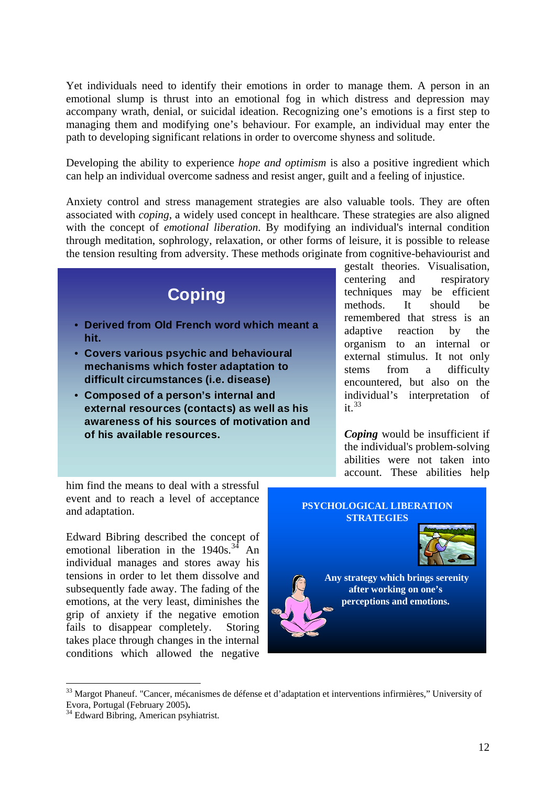Yet individuals need to identify their emotions in order to manage them. A person in an emotional slump is thrust into an emotional fog in which distress and depression may accompany wrath, denial, or suicidal ideation. Recognizing one's emotions is a first step to managing them and modifying one's behaviour. For example, an individual may enter the path to developing significant relations in order to overcome shyness and solitude.

Developing the ability to experience *hope and optimism* is also a positive ingredient which can help an individual overcome sadness and resist anger, guilt and a feeling of injustice.

Anxiety control and stress management strategies are also valuable tools. They are often associated with *coping*, a widely used concept in healthcare. These strategies are also aligned with the concept of *emotional liberation*. By modifying an individual's internal condition through meditation, sophrology, relaxation, or other forms of leisure, it is possible to release the tension resulting from adversity. These methods originate from cognitive-behaviourist and



him find the means to deal with a stressful event and to reach a level of acceptance and adaptation.

Edward Bibring described the concept of emotional liberation in the  $1940s$ .<sup>[34](#page-11-1)</sup> An individual manages and stores away his tensions in order to let them dissolve and subsequently fade away. The fading of the emotions, at the very least, diminishes the grip of anxiety if the negative emotion fails to disappear completely. Storing takes place through changes in the internal conditions which allowed the negative



<sup>&</sup>lt;sup>33</sup> Margot Phaneuf. "Cancer, mécanismes de défense et d'adaptation et interventions infirmières," University of Evora, Portugal (February 2005).

<span id="page-11-1"></span><span id="page-11-0"></span><sup>&</sup>lt;sup>34</sup> Edward Bibring, American psyhiatrist.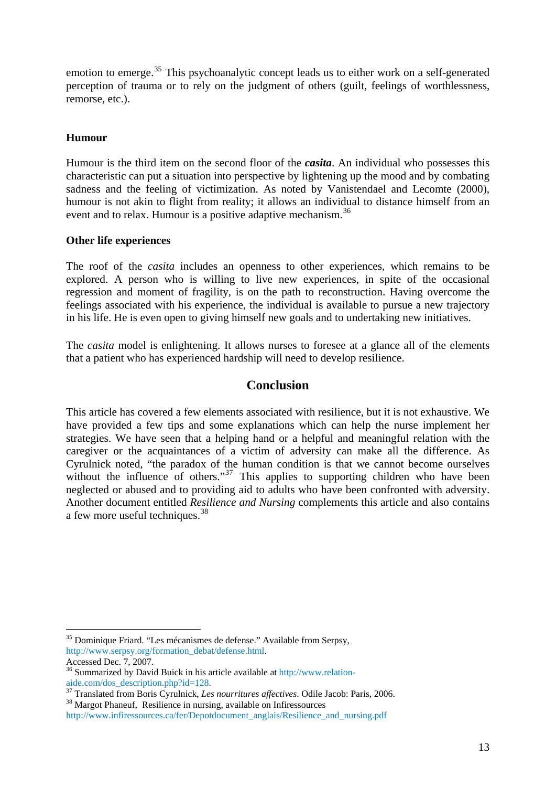emotion to emerge.<sup>[35](#page-12-0)</sup> This psychoanalytic concept leads us to either work on a self-generated perception of trauma or to rely on the judgment of others (guilt, feelings of worthlessness, remorse, etc.).

#### **Humour**

Humour is the third item on the second floor of the *casita*. An individual who possesses this characteristic can put a situation into perspective by lightening up the mood and by combating sadness and the feeling of victimization. As noted by Vanistendael and Lecomte (2000), humour is not akin to flight from reality; it allows an individual to distance himself from an event and to relax. Humour is a positive adaptive mechanism.<sup>[36](#page-12-1)</sup>

#### **Other life experiences**

The roof of the *casita* includes an openness to other experiences, which remains to be explored. A person who is willing to live new experiences, in spite of the occasional regression and moment of fragility, is on the path to reconstruction. Having overcome the feelings associated with his experience, the individual is available to pursue a new trajectory in his life. He is even open to giving himself new goals and to undertaking new initiatives.

The *casita* model is enlightening. It allows nurses to foresee at a glance all of the elements that a patient who has experienced hardship will need to develop resilience.

### **Conclusion**

This article has covered a few elements associated with resilience, but it is not exhaustive. We have provided a few tips and some explanations which can help the nurse implement her strategies. We have seen that a helping hand or a helpful and meaningful relation with the caregiver or the acquaintances of a victim of adversity can make all the difference. As Cyrulnick noted, "the paradox of the human condition is that we cannot become ourselves without the influence of others."<sup>[37](#page-12-2)</sup> This applies to supporting children who have been neglected or abused and to providing aid to adults who have been confronted with adversity. Another document entitled *Resilience and Nursing* complements this article and also contains a few more useful techniques.<sup>[38](#page-12-3)</sup>

<span id="page-12-0"></span><sup>&</sup>lt;sup>35</sup> Dominique Friard. "Les mécanismes de defense." Available from Serpsy, [http://www.serpsy.org/formation\\_debat/defense.html](http://www.serpsy.org/formation_debat/defense.html).

Accessed Dec. 7, 2007.

<span id="page-12-1"></span><sup>&</sup>lt;sup>36</sup> Summarized by David Buick in his article available at http://www.relation-<br>aide.com/dos\_description.php?id=128.

<span id="page-12-2"></span><sup>&</sup>lt;sup>[37](http://www.relation-aide.com/dos_description.php?id=128)</sup> Translated from Boris Cyrulnick, *Les nourritures affectives*. Odile Jacob: Paris, 2006. <sup>38</sup> Margot Phaneuf, Resilience in nursing, available on Infiressources

<span id="page-12-3"></span>[http://www.infiressources.ca/fer/Depotdocument\\_anglais/Resilience\\_and\\_nursing.pdf](http://www.infiressources.ca/fer/Depotdocument_anglais/Resilience_and_nursing.pdf)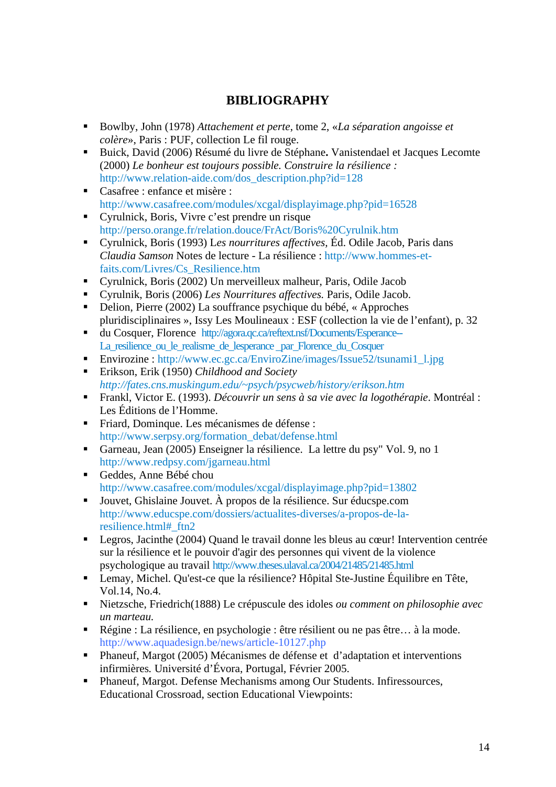# **BIBLIOGRAPHY**

- Bowlby, John (1978) *Attachement et perte*, tome 2, «*La séparation angoisse et colère*», Paris : PUF, collection Le fil rouge.
- Buick, David (2006) Résumé du livre de Stéphane**.** Vanistendael et Jacques Lecomte (2000) *Le bonheur est toujours possible. Construire la résilience :*  [http://www.relation-aide.com/dos\\_description.php?id=128](http://www.relation-aide.com/dos_description.php?id=128)
- Casafree : enfance et misère : <http://www.casafree.com/modules/xcgal/displayimage.php?pid=16528>
- Cyrulnick, Boris, Vivre c'est prendre un risque <http://perso.orange.fr/relation.douce/FrAct/Boris%20Cyrulnik.htm>
- Cyrulnick, Boris (1993) L*es nourritures affectives,* Éd. Odile Jacob, Paris dans *Claudia Samson* Notes de lecture - La résilience : [http://www.hommes-et](http://www.hommes-et-faits.com/Livres/Cs_Resilience.htm)[faits.com/Livres/Cs\\_Resilience.htm](http://www.hommes-et-faits.com/Livres/Cs_Resilience.htm)
- Cyrulnick, Boris (2002) Un merveilleux malheur, Paris, Odile Jacob
- Cyrulnik, Boris (2006) *Les Nourritures affectives.* Paris, Odile Jacob.
- Delion, Pierre (2002) La souffrance psychique du bébé, « Approches pluridisciplinaires », Issy Les Moulineaux : ESF (collection la vie de l'enfant), p. 32
- du Cosquer, Florence [http://agora.qc.ca/reftext.nsf/Documents/Esperance--](http://agora.qc.ca/reftext.nsf/Documents/Esperance--La_resilience_ou_le_realisme_de_lesperance%20_par_Florence_du_Cosquer) La resilience ou le realisme de lesperance par Florence du Cosquer
- Envirozine : http://www.ec.gc.ca/EnviroZine/images/Issue52/tsunami1\_1.jpg
- Erikson, Erik (1950) *Childhood and Society [http://fates.cns.muskingum.edu/~psych/psycweb/history/erikson.htm](http://fates.cns.muskingum.edu/%7Epsych/psycweb/history/erikson.htm)*
- Frankl, Victor E. (1993). *Découvrir un sens à sa vie avec la logothérapie*. Montréal : Les Éditions de l'Homme.
- Friard, Dominque. Les mécanismes de défense : [http://www.serpsy.org/formation\\_debat/defense.html](http://www.serpsy.org/formation_debat/defense.html)
- [Garneau,](http://www.redpsy.com/jgarneau.html) Jean (2005) Enseigner la résilience. [La lettre du psy](http://www.redpsy.com/letpsy/index.html)" Vol. 9, no 1 <http://www.redpsy.com/jgarneau.html>
- Geddes, Anne Bébé chou <http://www.casafree.com/modules/xcgal/displayimage.php?pid=13802>
- Jouvet, Ghislaine Jouvet. À propos de la résilience. Sur éducspe.com [http://www.educspe.com/dossiers/actualites-diverses/a-propos-de-la](http://www.educspe.com/dossiers/actualites-diverses/a-propos-de-la-resilience.html#_ftn2)[resilience.html#\\_ftn2](http://www.educspe.com/dossiers/actualites-diverses/a-propos-de-la-resilience.html#_ftn2)
- Legros, Jacinthe (2004) Quand le travail donne les bleus au cœur! Intervention centrée sur la résilience et le pouvoir d'agir des personnes qui vivent de la violence psychologique au travail <http://www.theses.ulaval.ca/2004/21485/21485.html>
- Lemay, Michel. Qu'est-ce que la résilience? Hôpital Ste-Justine Équilibre en Tête, Vol.14, No.4.
- Nietzsche, Friedrich(1888) Le crépuscule des idoles *ou comment on philosophie avec un marteau.*
- Régine : La résilience, en psychologie : être résilient ou ne pas être... à la mode. <http://www.aquadesign.be/news/article-10127.php>
- Phaneuf, Margot (2005) Mécanismes de défense et d'adaptation et interventions infirmières*.* Université d'Évora, Portugal, Février 2005.
- Phaneuf, Margot. Defense Mechanisms among Our Students. Infiressources, Educational Crossroad, section Educational Viewpoints: